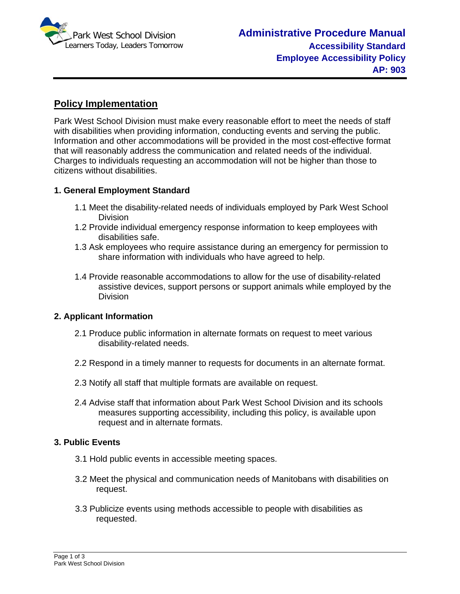

# **Policy Implementation**

Park West School Division must make every reasonable effort to meet the needs of staff with disabilities when providing information, conducting events and serving the public. Information and other accommodations will be provided in the most cost-effective format that will reasonably address the communication and related needs of the individual. Charges to individuals requesting an accommodation will not be higher than those to citizens without disabilities.

## **1. General Employment Standard**

- 1.1 Meet the disability-related needs of individuals employed by Park West School Division
- 1.2 Provide individual emergency response information to keep employees with disabilities safe.
- 1.3 Ask employees who require assistance during an emergency for permission to share information with individuals who have agreed to help.
- 1.4 Provide reasonable accommodations to allow for the use of disability-related assistive devices, support persons or support animals while employed by the Division

### **2. Applicant Information**

- 2.1 Produce public information in alternate formats on request to meet various disability-related needs.
- 2.2 Respond in a timely manner to requests for documents in an alternate format.
- 2.3 Notify all staff that multiple formats are available on request.
- 2.4 Advise staff that information about Park West School Division and its schools measures supporting accessibility, including this policy, is available upon request and in alternate formats.

### **3. Public Events**

- 3.1 Hold public events in accessible meeting spaces.
- 3.2 Meet the physical and communication needs of Manitobans with disabilities on request.
- 3.3 Publicize events using methods accessible to people with disabilities as requested.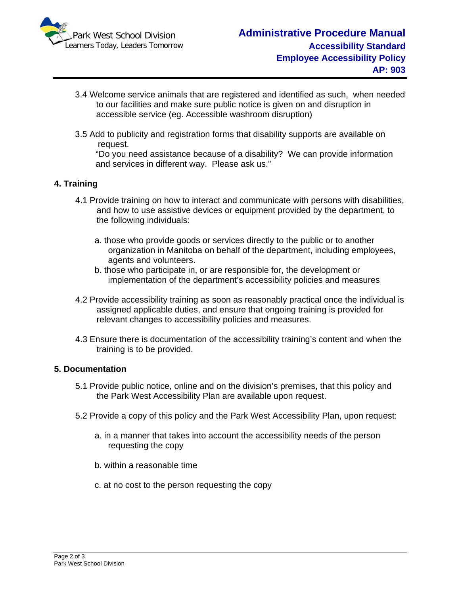

- 3.4 Welcome service animals that are registered and identified as such, when needed to our facilities and make sure public notice is given on and disruption in accessible service (eg. Accessible washroom disruption)
- 3.5 Add to publicity and registration forms that disability supports are available on request.

"Do you need assistance because of a disability? We can provide information and services in different way. Please ask us."

## **4. Training**

- 4.1 Provide training on how to interact and communicate with persons with disabilities, and how to use assistive devices or equipment provided by the department, to the following individuals:
	- a. those who provide goods or services directly to the public or to another organization in Manitoba on behalf of the department, including employees, agents and volunteers.
	- b. those who participate in, or are responsible for, the development or implementation of the department's accessibility policies and measures
- 4.2 Provide accessibility training as soon as reasonably practical once the individual is assigned applicable duties, and ensure that ongoing training is provided for relevant changes to accessibility policies and measures.
- 4.3 Ensure there is documentation of the accessibility training's content and when the training is to be provided.

### **5. Documentation**

- 5.1 Provide public notice, online and on the division's premises, that this policy and the Park West Accessibility Plan are available upon request.
- 5.2 Provide a copy of this policy and the Park West Accessibility Plan, upon request:
	- a. in a manner that takes into account the accessibility needs of the person requesting the copy
	- b. within a reasonable time
	- c. at no cost to the person requesting the copy